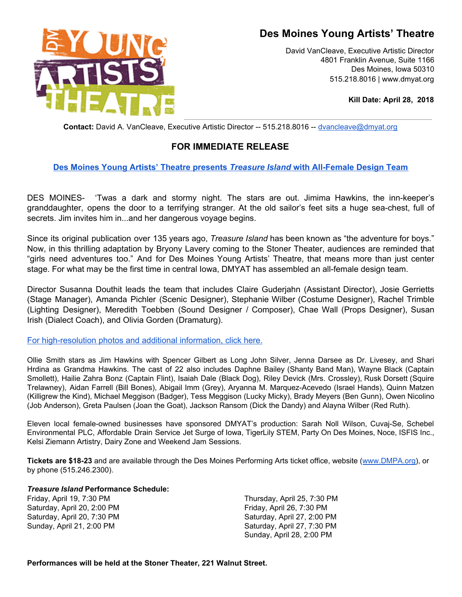# **Des Moines Young Artists' Theatre**



David VanCleave, Executive Artistic Director 4801 Franklin Avenue, Suite 1166 Des Moines, Iowa 50310 515.218.8016 | www.dmyat.org

**Kill Date: April 28, 2018**

**Contact:** David A. VanCleave, Executive Artistic Director -- 515.218.8016 -- [dvancleave@dmyat.org](mailto:dvancleave@dmyat.org)

## **FOR IMMEDIATE RELEASE**

### **Des Moines Young Artists' Theatre [presents](http://www.dmyat.org/treasure-island)** *[Treasure](http://www.dmyat.org/treasure-island) Island* **with [All-Female](http://www.dmyat.org/treasure-island) Design Team**

DES MOINES- 'Twas a dark and stormy night. The stars are out. Jimima Hawkins, the inn-keeper's granddaughter, opens the door to a terrifying stranger. At the old sailor's feet sits a huge sea-chest, full of secrets. Jim invites him in...and her dangerous voyage begins.

Since its original publication over 135 years ago, *Treasure Island* has been known as "the adventure for boys." Now, in this thrilling adaptation by Bryony Lavery coming to the Stoner Theater, audiences are reminded that "girls need adventures too." And for Des Moines Young Artists' Theatre, that means more than just center stage. For what may be the first time in central Iowa, DMYAT has assembled an all-female design team.

Director Susanna Douthit leads the team that includes Claire Guderjahn (Assistant Director), Josie Gerrietts (Stage Manager), Amanda Pichler (Scenic Designer), Stephanie Wilber (Costume Designer), Rachel Trimble (Lighting Designer), Meredith Toebben (Sound Designer / Composer), Chae Wall (Props Designer), Susan Irish (Dialect Coach), and Olivia Gorden (Dramaturg).

For [high-resolution](https://www.dmyat.org/treasure-island) photos and additional information, click here.

Ollie Smith stars as Jim Hawkins with Spencer Gilbert as Long John Silver, Jenna Darsee as Dr. Livesey, and Shari Hrdina as Grandma Hawkins. The cast of 22 also includes Daphne Bailey (Shanty Band Man), Wayne Black (Captain Smollett), Hailie Zahra Bonz (Captain Flint), Isaiah Dale (Black Dog), Riley Devick (Mrs. Crossley), Rusk Dorsett (Squire Trelawney), Aidan Farrell (Bill Bones), Abigail Imm (Grey), Aryanna M. Marquez-Acevedo (Israel Hands), Quinn Matzen (Killigrew the Kind), Michael Meggison (Badger), Tess Meggison (Lucky Micky), Brady Meyers (Ben Gunn), Owen Nicolino (Job Anderson), Greta Paulsen (Joan the Goat), Jackson Ransom (Dick the Dandy) and Alayna Wilber (Red Ruth).

Eleven local female-owned businesses have sponsored DMYAT's production: Sarah Noll Wilson, Cuvaj-Se, Schebel Environmental PLC, Affordable Drain Service Jet Surge of Iowa, TigerLily STEM, Party On Des Moines, Noce, ISFIS Inc., Kelsi Ziemann Artistry, Dairy Zone and Weekend Jam Sessions.

**Tickets are \$18-23** and are available through the Des Moines Performing Arts ticket office, website ([www.DMPA.org](http://www.dmpa.org/)), or by phone (515.246.2300).

#### *Treasure Island* **Performance Schedule:**

Friday, April 19, 7:30 PM Saturday, April 20, 2:00 PM Saturday, April 20, 7:30 PM Sunday, April 21, 2:00 PM

Thursday, April 25, 7:30 PM Friday, April 26, 7:30 PM Saturday, April 27, 2:00 PM Saturday, April 27, 7:30 PM Sunday, April 28, 2:00 PM